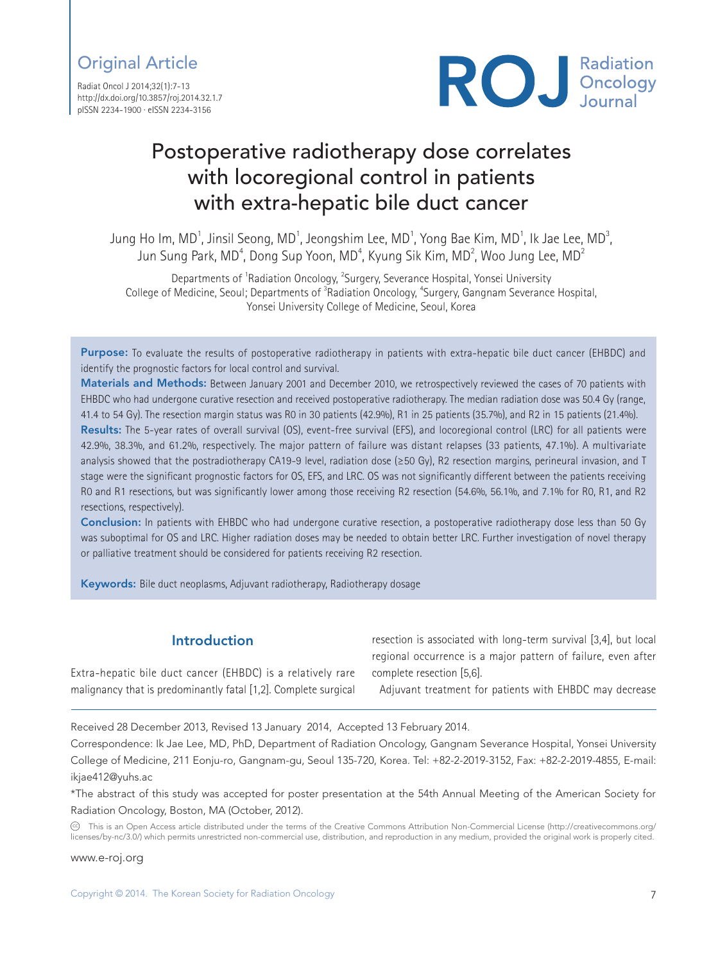## Original Article

Radiat Oncol J 2014;32(1):7-13 http://dx.doi.org/10.3857/roj.2014.32.1.7 pISSN 2234-1900 · eISSN 2234-3156



# Postoperative radiotherapy dose correlates with locoregional control in patients with extra-hepatic bile duct cancer

Jung Ho Im, MD $^{\rm 1}$ , Jinsil Seong, MD $^{\rm 1}$ , Jeongshim Lee, MD $^{\rm 1}$ , Yong Bae Kim, MD $^{\rm 1}$ , Ik Jae Lee, MD $^{\rm 3}$ , Jun Sung Park, MD $^{\rm 4}$ , Dong Sup Yoon, MD $^{\rm 4}$ , Kyung Sik Kim, MD $^{\rm 2}$ , Woo Jung Lee, MD $^{\rm 2}$ 

Departments of <sup>1</sup>Radiation Oncology, <sup>2</sup>Surgery, Severance Hospital, Yonsei University College of Medicine, Seoul; Departments of <sup>3</sup>Radiation Oncology, <sup>4</sup>Surgery, Gangnam Severance Hospital, Yonsei University College of Medicine, Seoul, Korea

Purpose: To evaluate the results of postoperative radiotherapy in patients with extra-hepatic bile duct cancer (EHBDC) and identify the prognostic factors for local control and survival.

Materials and Methods: Between January 2001 and December 2010, we retrospectively reviewed the cases of 70 patients with EHBDC who had undergone curative resection and received postoperative radiotherapy. The median radiation dose was 50.4 Gy (range, 41.4 to 54 Gy). The resection margin status was R0 in 30 patients (42.9%), R1 in 25 patients (35.7%), and R2 in 15 patients (21.4%).

Results: The 5-year rates of overall survival (OS), event-free survival (EFS), and locoregional control (LRC) for all patients were 42.9%, 38.3%, and 61.2%, respectively. The major pattern of failure was distant relapses (33 patients, 47.1%). A multivariate analysis showed that the postradiotherapy CA19-9 level, radiation dose (≥50 Gy), R2 resection margins, perineural invasion, and T stage were the significant prognostic factors for OS, EFS, and LRC. OS was not significantly different between the patients receiving R0 and R1 resections, but was significantly lower among those receiving R2 resection (54.6%, 56.1%, and 7.1% for R0, R1, and R2 resections, respectively).

Conclusion: In patients with EHBDC who had undergone curative resection, a postoperative radiotherapy dose less than 50 Gy was suboptimal for OS and LRC. Higher radiation doses may be needed to obtain better LRC. Further investigation of novel therapy or palliative treatment should be considered for patients receiving R2 resection.

Keywords: Bile duct neoplasms, Adjuvant radiotherapy, Radiotherapy dosage

## Introduction

Extra-hepatic bile duct cancer (EHBDC) is a relatively rare malignancy that is predominantly fatal [1,2]. Complete surgical resection is associated with long-term survival [3,4], but local regional occurrence is a major pattern of failure, even after complete resection [5,6].

Adjuvant treatment for patients with EHBDC may decrease

Received 28 December 2013, Revised 13 January 2014, Accepted 13 February 2014.

Correspondence: Ik Jae Lee, MD, PhD, Department of Radiation Oncology, Gangnam Severance Hospital, Yonsei University College of Medicine, 211 Eonju-ro, Gangnam-gu, Seoul 135-720, Korea. Tel: +82-2-2019-3152, Fax: +82-2-2019-4855, E-mail: ikiae412@vuhs.ac

\*The abstract of this study was accepted for poster presentation at the 54th Annual Meeting of the American Society for Radiation Oncology, Boston, MA (October, 2012).

CC This is an Open Access article distributed under the terms of the Creative Commons Attribution Non-Commercial License (http://creativecommons.org/ licenses/by-nc/3.0/) which permits unrestricted non-commercial use, distribution, and reproduction in any medium, provided the original work is properly cited.

www.e-roj.org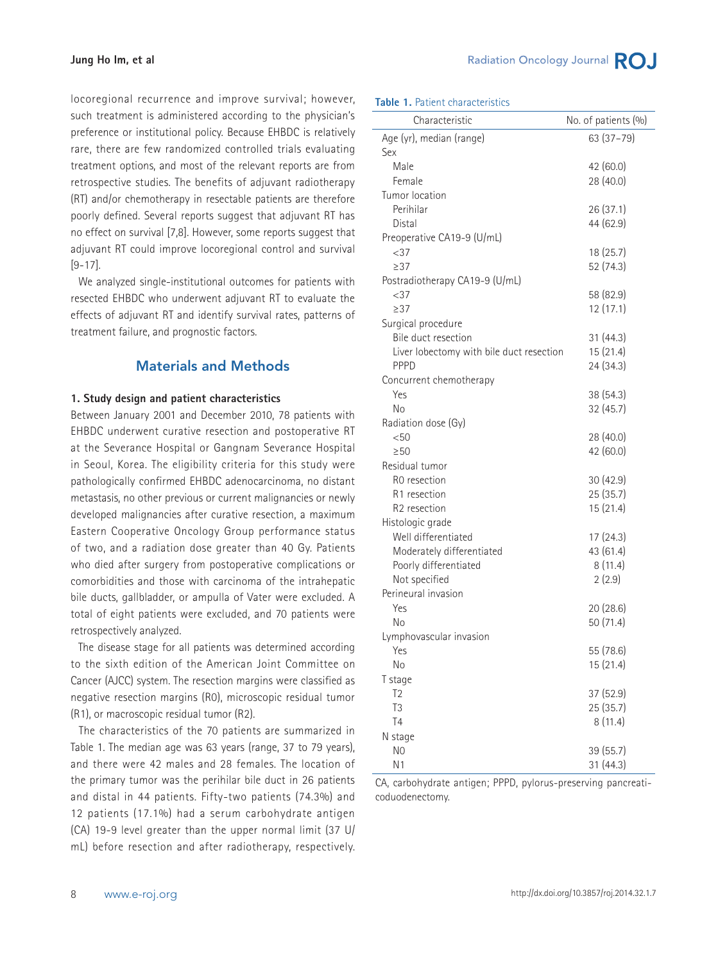locoregional recurrence and improve survival; however, such treatment is administered according to the physician's preference or institutional policy. Because EHBDC is relatively rare, there are few randomized controlled trials evaluating treatment options, and most of the relevant reports are from retrospective studies. The benefits of adjuvant radiotherapy (RT) and/or chemotherapy in resectable patients are therefore poorly defined. Several reports suggest that adjuvant RT has no effect on survival [7,8]. However, some reports suggest that adjuvant RT could improve locoregional control and survival [9-17].

 We analyzed single-institutional outcomes for patients with resected EHBDC who underwent adjuvant RT to evaluate the effects of adjuvant RT and identify survival rates, patterns of treatment failure, and prognostic factors.

## Materials and Methods

#### **1. Study design and patient characteristics**

Between January 2001 and December 2010, 78 patients with EHBDC underwent curative resection and postoperative RT at the Severance Hospital or Gangnam Severance Hospital in Seoul, Korea. The eligibility criteria for this study were pathologically confirmed EHBDC adenocarcinoma, no distant metastasis, no other previous or current malignancies or newly developed malignancies after curative resection, a maximum Eastern Cooperative Oncology Group performance status of two, and a radiation dose greater than 40 Gy. Patients who died after surgery from postoperative complications or comorbidities and those with carcinoma of the intrahepatic bile ducts, gallbladder, or ampulla of Vater were excluded. A total of eight patients were excluded, and 70 patients were retrospectively analyzed.

 The disease stage for all patients was determined according to the sixth edition of the American Joint Committee on Cancer (AJCC) system. The resection margins were classified as negative resection margins (R0), microscopic residual tumor (R1), or macroscopic residual tumor (R2).

 The characteristics of the 70 patients are summarized in Table 1. The median age was 63 years (range, 37 to 79 years), and there were 42 males and 28 females. The location of the primary tumor was the perihilar bile duct in 26 patients and distal in 44 patients. Fifty-two patients (74.3%) and 12 patients (17.1%) had a serum carbohydrate antigen (CA) 19-9 level greater than the upper normal limit (37 U/ mL) before resection and after radiotherapy, respectively.

#### **Table 1.** Patient characteristics

| Characteristic                           | No. of patients (%) |
|------------------------------------------|---------------------|
| Age (yr), median (range)                 | 63 (37-79)          |
| Sex                                      |                     |
| Male                                     | 42 (60.0)           |
| Female                                   | 28 (40.0)           |
| Tumor location                           |                     |
| Perihilar                                | 26 (37.1)           |
| Distal                                   | 44 (62.9)           |
| Preoperative CA19-9 (U/mL)               |                     |
| $<$ 37                                   | 18 (25.7)           |
| >37                                      | 52 (74.3)           |
| Postradiotherapy CA19-9 (U/mL)           |                     |
| $<$ 37                                   | 58 (82.9)           |
| >37                                      | 12(17.1)            |
| Surgical procedure                       |                     |
| Bile duct resection                      | 31 (44.3)           |
| Liver lobectomy with bile duct resection | 15(21.4)            |
| PPPD                                     | 24 (34.3)           |
| Concurrent chemotherapy                  |                     |
| Yes                                      | 38 (54.3)           |
| Nο                                       | 32(45.7)            |
| Radiation dose (Gy)                      |                     |
| $<$ 50                                   | 28 (40.0)           |
| >50                                      | 42 (60.0)           |
| Residual tumor                           |                     |
| R0 resection                             | 30(42.9)            |
| R1 resection                             | 25 (35.7)           |
| R2 resection                             | 15 (21.4)           |
| Histologic grade                         |                     |
| Well differentiated                      | 17 (24.3)           |
| Moderately differentiated                | 43 (61.4)           |
| Poorly differentiated                    | 8(11.4)             |
| Not specified                            | 2(2.9)              |
| Perineural invasion                      |                     |
| Yes                                      | 20(28.6)            |
| No                                       | 50 (71.4)           |
| Lymphovascular invasion                  |                     |
| Yes                                      | 55 (78.6)           |
| No                                       | 15 (21.4)           |
| T stage                                  |                     |
| T <sub>2</sub>                           | 37 (52.9)           |
| T3                                       | 25 (35.7)           |
| T <sub>4</sub>                           | 8(11.4)             |
| N stage                                  |                     |
| N <sub>0</sub>                           | 39 (55.7)           |
| N1                                       | 31 (44.3)           |

CA, carbohydrate antigen; PPPD, pylorus-preserving pancreaticoduodenectomy.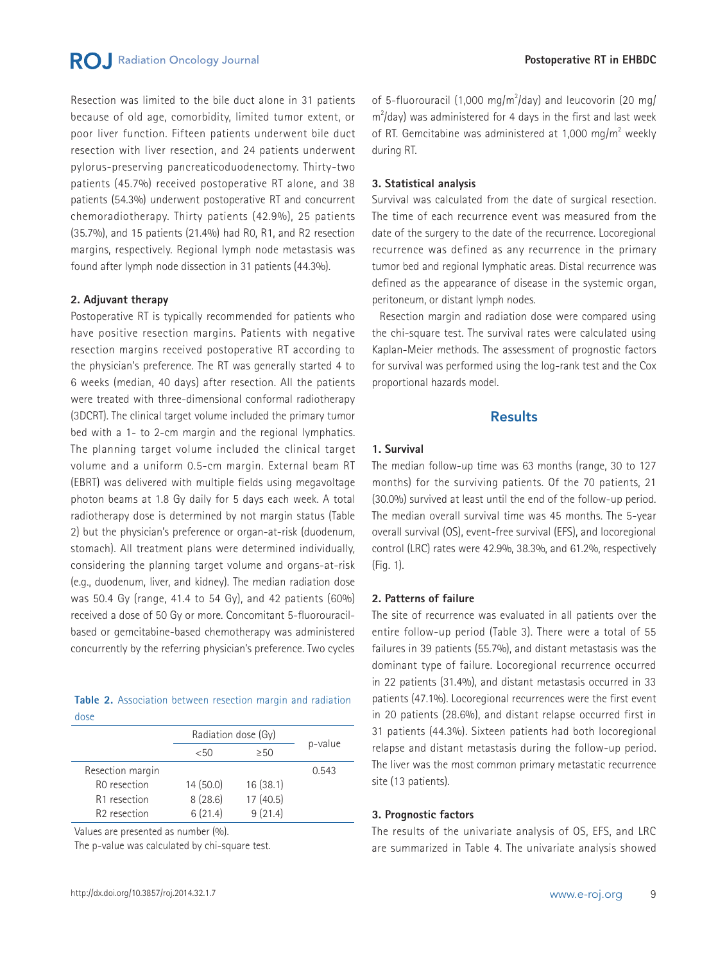**RO** Radiation Oncology Journal

Resection was limited to the bile duct alone in 31 patients because of old age, comorbidity, limited tumor extent, or poor liver function. Fifteen patients underwent bile duct resection with liver resection, and 24 patients underwent pylorus-preserving pancreaticoduodenectomy. Thirty-two patients (45.7%) received postoperative RT alone, and 38 patients (54.3%) underwent postoperative RT and concurrent chemoradiotherapy. Thirty patients (42.9%), 25 patients (35.7%), and 15 patients (21.4%) had R0, R1, and R2 resection margins, respectively. Regional lymph node metastasis was found after lymph node dissection in 31 patients (44.3%).

#### **2. Adjuvant therapy**

Postoperative RT is typically recommended for patients who have positive resection margins. Patients with negative resection margins received postoperative RT according to the physician's preference. The RT was generally started 4 to 6 weeks (median, 40 days) after resection. All the patients were treated with three-dimensional conformal radiotherapy (3DCRT). The clinical target volume included the primary tumor bed with a 1- to 2-cm margin and the regional lymphatics. The planning target volume included the clinical target volume and a uniform 0.5-cm margin. External beam RT (EBRT) was delivered with multiple fields using megavoltage photon beams at 1.8 Gy daily for 5 days each week. A total radiotherapy dose is determined by not margin status (Table 2) but the physician's preference or organ-at-risk (duodenum, stomach). All treatment plans were determined individually, considering the planning target volume and organs-at-risk (e.g., duodenum, liver, and kidney). The median radiation dose was 50.4 Gy (range, 41.4 to 54 Gy), and 42 patients (60%) received a dose of 50 Gy or more. Concomitant 5-fluorouracilbased or gemcitabine-based chemotherapy was administered concurrently by the referring physician's preference. Two cycles

|      | Table 2. Association between resection margin and radiation |  |  |  |
|------|-------------------------------------------------------------|--|--|--|
| dose |                                                             |  |  |  |

|                          | Radiation dose (Gy) |          |         |
|--------------------------|---------------------|----------|---------|
|                          | < 50                | >50      | p-value |
| Resection margin         |                     |          | 0.543   |
| R <sub>0</sub> resection | 14(50.0)            | 16(38.1) |         |
| R1 resection             | 8(28.6)             | 17(40.5) |         |
| R <sub>2</sub> resection | 6(21.4)             | 9(21.4)  |         |

Values are presented as number (%).

The p-value was calculated by chi-square test.

#### **3. Statistical analysis**

Survival was calculated from the date of surgical resection. The time of each recurrence event was measured from the date of the surgery to the date of the recurrence. Locoregional recurrence was defined as any recurrence in the primary tumor bed and regional lymphatic areas. Distal recurrence was defined as the appearance of disease in the systemic organ, peritoneum, or distant lymph nodes.

 Resection margin and radiation dose were compared using the chi-square test. The survival rates were calculated using Kaplan-Meier methods. The assessment of prognostic factors for survival was performed using the log-rank test and the Cox proportional hazards model.

## Results

#### **1. Survival**

The median follow-up time was 63 months (range, 30 to 127 months) for the surviving patients. Of the 70 patients, 21 (30.0%) survived at least until the end of the follow-up period. The median overall survival time was 45 months. The 5-year overall survival (OS), event-free survival (EFS), and locoregional control (LRC) rates were 42.9%, 38.3%, and 61.2%, respectively (Fig. 1).

#### **2. Patterns of failure**

The site of recurrence was evaluated in all patients over the entire follow-up period (Table 3). There were a total of 55 failures in 39 patients (55.7%), and distant metastasis was the dominant type of failure. Locoregional recurrence occurred in 22 patients (31.4%), and distant metastasis occurred in 33 patients (47.1%). Locoregional recurrences were the first event in 20 patients (28.6%), and distant relapse occurred first in 31 patients (44.3%). Sixteen patients had both locoregional relapse and distant metastasis during the follow-up period. The liver was the most common primary metastatic recurrence site (13 patients).

#### **3. Prognostic factors**

The results of the univariate analysis of OS, EFS, and LRC are summarized in Table 4. The univariate analysis showed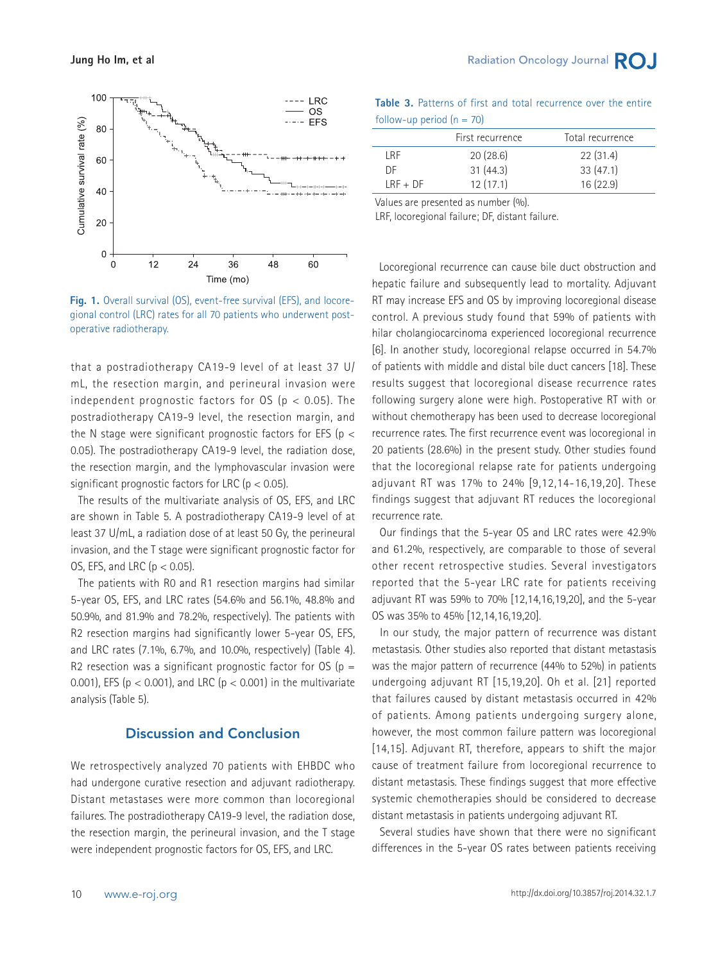

**Fig. 1.** Overall survival (OS), event-free survival (EFS), and locoregional control (LRC) rates for all 70 patients who underwent postoperative radiotherapy.

that a postradiotherapy CA19-9 level of at least 37 U/ mL, the resection margin, and perineural invasion were independent prognostic factors for  $OS$  ( $p < 0.05$ ). The postradiotherapy CA19-9 level, the resection margin, and the N stage were significant prognostic factors for EFS ( $p <$ 0.05). The postradiotherapy CA19-9 level, the radiation dose, the resection margin, and the lymphovascular invasion were significant prognostic factors for LRC ( $p < 0.05$ ).

 The results of the multivariate analysis of OS, EFS, and LRC are shown in Table 5. A postradiotherapy CA19-9 level of at least 37 U/mL, a radiation dose of at least 50 Gy, the perineural invasion, and the T stage were significant prognostic factor for OS, EFS, and LRC ( $p < 0.05$ ).

 The patients with R0 and R1 resection margins had similar 5-year OS, EFS, and LRC rates (54.6% and 56.1%, 48.8% and 50.9%, and 81.9% and 78.2%, respectively). The patients with R2 resection margins had significantly lower 5-year OS, EFS, and LRC rates (7.1%, 6.7%, and 10.0%, respectively) (Table 4). R2 resection was a significant prognostic factor for  $OS$  (p = 0.001), EFS ( $p < 0.001$ ), and LRC ( $p < 0.001$ ) in the multivariate analysis (Table 5).

## Discussion and Conclusion

We retrospectively analyzed 70 patients with EHBDC who had undergone curative resection and adjuvant radiotherapy. Distant metastases were more common than locoregional failures. The postradiotherapy CA19-9 level, the radiation dose, the resection margin, the perineural invasion, and the T stage were independent prognostic factors for OS, EFS, and LRC.

|                             |  |  | <b>Table 3.</b> Patterns of first and total recurrence over the entire |  |  |
|-----------------------------|--|--|------------------------------------------------------------------------|--|--|
| follow-up period $(n = 70)$ |  |  |                                                                        |  |  |

|            | First recurrence | Total recurrence |
|------------|------------------|------------------|
| I RF       | 20(28.6)         | 22(31.4)         |
| DF         | 31(44.3)         | 33(47.1)         |
| $LRF + DF$ | 12(17.1)         | 16(22.9)         |

Values are presented as number (%).

LRF, locoregional failure; DF, distant failure.

 Locoregional recurrence can cause bile duct obstruction and hepatic failure and subsequently lead to mortality. Adjuvant RT may increase EFS and OS by improving locoregional disease control. A previous study found that 59% of patients with hilar cholangiocarcinoma experienced locoregional recurrence [6]. In another study, locoregional relapse occurred in 54.7% of patients with middle and distal bile duct cancers [18]. These results suggest that locoregional disease recurrence rates following surgery alone were high. Postoperative RT with or without chemotherapy has been used to decrease locoregional recurrence rates. The first recurrence event was locoregional in 20 patients (28.6%) in the present study. Other studies found that the locoregional relapse rate for patients undergoing adjuvant RT was 17% to 24% [9,12,14-16,19,20]. These findings suggest that adjuvant RT reduces the locoregional recurrence rate.

 Our findings that the 5-year OS and LRC rates were 42.9% and 61.2%, respectively, are comparable to those of several other recent retrospective studies. Several investigators reported that the 5-year LRC rate for patients receiving adjuvant RT was 59% to 70% [12,14,16,19,20], and the 5-year OS was 35% to 45% [12,14,16,19,20].

 In our study, the major pattern of recurrence was distant metastasis. Other studies also reported that distant metastasis was the major pattern of recurrence (44% to 52%) in patients undergoing adjuvant RT [15,19,20]. Oh et al. [21] reported that failures caused by distant metastasis occurred in 42% of patients. Among patients undergoing surgery alone, however, the most common failure pattern was locoregional [14,15]. Adjuvant RT, therefore, appears to shift the major cause of treatment failure from locoregional recurrence to distant metastasis. These findings suggest that more effective systemic chemotherapies should be considered to decrease distant metastasis in patients undergoing adjuvant RT.

 Several studies have shown that there were no significant differences in the 5-year OS rates between patients receiving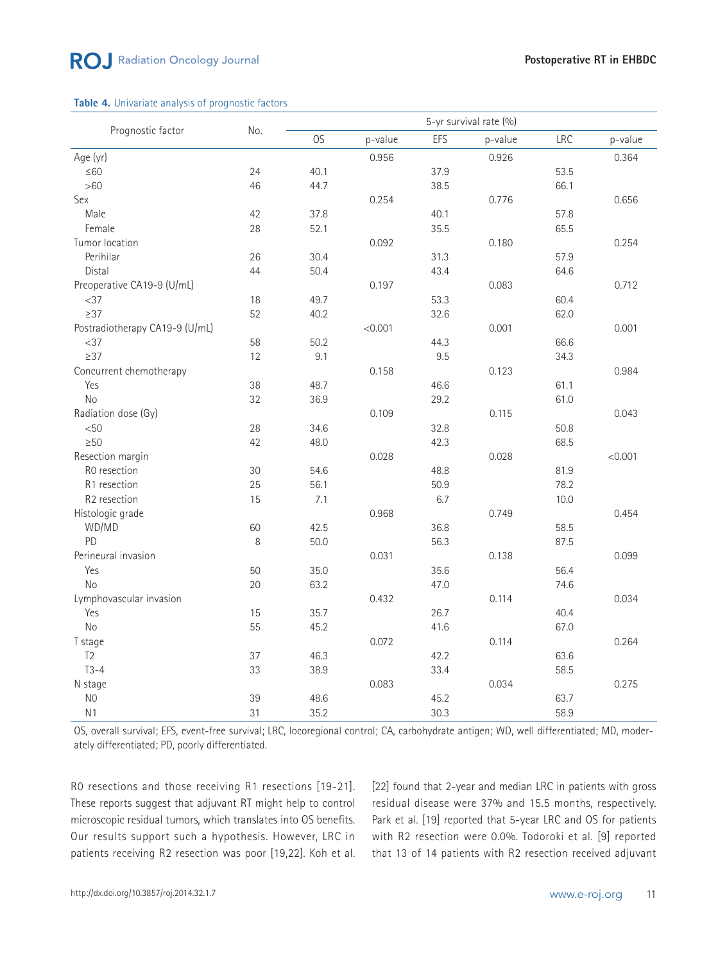#### **Table 4.** Univariate analysis of prognostic factors

|                                |       |      |         |      | 5-yr survival rate (%) |            |         |
|--------------------------------|-------|------|---------|------|------------------------|------------|---------|
| Prognostic factor              | No.   | OS   | p-value | EFS  | p-value                | <b>LRC</b> | p-value |
| Age (yr)                       |       |      | 0.956   |      | 0.926                  |            | 0.364   |
| $\leq 60$                      | 24    | 40.1 |         | 37.9 |                        | 53.5       |         |
| $>60$                          | 46    | 44.7 |         | 38.5 |                        | 66.1       |         |
| Sex                            |       |      | 0.254   |      | 0.776                  |            | 0.656   |
| Male                           | 42    | 37.8 |         | 40.1 |                        | 57.8       |         |
| Female                         | 28    | 52.1 |         | 35.5 |                        | 65.5       |         |
| Tumor location                 |       |      | 0.092   |      | 0.180                  |            | 0.254   |
| Perihilar                      | 26    | 30.4 |         | 31.3 |                        | 57.9       |         |
| Distal                         | 44    | 50.4 |         | 43.4 |                        | 64.6       |         |
| Preoperative CA19-9 (U/mL)     |       |      | 0.197   |      | 0.083                  |            | 0.712   |
| $<$ 37                         | 18    | 49.7 |         | 53.3 |                        | 60.4       |         |
| $\geq$ 37                      | 52    | 40.2 |         | 32.6 |                        | 62.0       |         |
| Postradiotherapy CA19-9 (U/mL) |       |      | < 0.001 |      | 0.001                  |            | 0.001   |
| $<$ 37                         | 58    | 50.2 |         | 44.3 |                        | 66.6       |         |
| $\geq$ 37                      | 12    | 9.1  |         | 9.5  |                        | 34.3       |         |
| Concurrent chemotherapy        |       |      | 0.158   |      | 0.123                  |            | 0.984   |
| Yes                            | 38    | 48.7 |         | 46.6 |                        | 61.1       |         |
| No                             | 32    | 36.9 |         | 29.2 |                        | 61.0       |         |
| Radiation dose (Gy)            |       |      | 0.109   |      | 0.115                  |            | 0.043   |
| < 50                           | 28    | 34.6 |         | 32.8 |                        | 50.8       |         |
| $\geq 50$                      | 42    | 48.0 |         | 42.3 |                        | 68.5       |         |
| Resection margin               |       |      | 0.028   |      | 0.028                  |            | < 0.001 |
| R0 resection                   | 30    | 54.6 |         | 48.8 |                        | 81.9       |         |
| R1 resection                   | 25    | 56.1 |         | 50.9 |                        | 78.2       |         |
| R2 resection                   | 15    | 7.1  |         | 6.7  |                        | 10.0       |         |
| Histologic grade               |       |      | 0.968   |      | 0.749                  |            | 0.454   |
| WD/MD                          | 60    | 42.5 |         | 36.8 |                        | 58.5       |         |
| PD                             | $8\,$ | 50.0 |         | 56.3 |                        | 87.5       |         |
| Perineural invasion            |       |      | 0.031   |      | 0.138                  |            | 0.099   |
| Yes                            | 50    | 35.0 |         | 35.6 |                        | 56.4       |         |
| <b>No</b>                      | 20    | 63.2 |         | 47.0 |                        | 74.6       |         |
| Lymphovascular invasion        |       |      | 0.432   |      | 0.114                  |            | 0.034   |
| Yes                            | 15    | 35.7 |         | 26.7 |                        | 40.4       |         |
| N <sub>o</sub>                 | 55    | 45.2 |         | 41.6 |                        | 67.0       |         |
| T stage                        |       |      | 0.072   |      | 0.114                  |            | 0.264   |
| T <sub>2</sub>                 | 37    | 46.3 |         | 42.2 |                        | 63.6       |         |
| $T3-4$                         | 33    | 38.9 |         | 33.4 |                        | 58.5       |         |
| N stage                        |       |      | 0.083   |      | 0.034                  |            | 0.275   |
| N <sub>0</sub>                 | 39    | 48.6 |         | 45.2 |                        | 63.7       |         |
| N <sub>1</sub>                 | 31    | 35.2 |         | 30.3 |                        | 58.9       |         |

OS, overall survival; EFS, event-free survival; LRC, locoregional control; CA, carbohydrate antigen; WD, well differentiated; MD, moderately differentiated; PD, poorly differentiated.

R0 resections and those receiving R1 resections [19-21]. These reports suggest that adjuvant RT might help to control microscopic residual tumors, which translates into OS benefits. Our results support such a hypothesis. However, LRC in patients receiving R2 resection was poor [19,22]. Koh et al. [22] found that 2-year and median LRC in patients with gross residual disease were 37% and 15.5 months, respectively. Park et al. [19] reported that 5-year LRC and OS for patients with R2 resection were 0.0%. Todoroki et al. [9] reported that 13 of 14 patients with R2 resection received adjuvant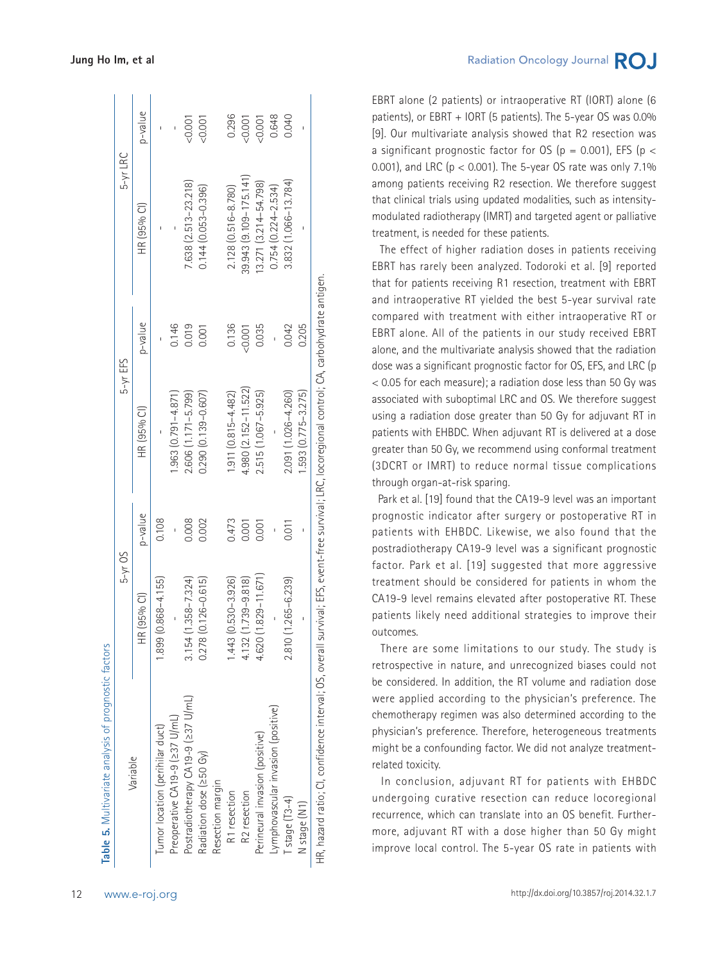| Variable                                                                                                                                        | $5-yr$ OS                  |         | $5-yr$ EFS              |         | $5-yr$ LRC                   |         |
|-------------------------------------------------------------------------------------------------------------------------------------------------|----------------------------|---------|-------------------------|---------|------------------------------|---------|
|                                                                                                                                                 | HR (95% CI)                | p-value | HR (95% Cl)             | p-value | HR (95% Cl)                  | p-value |
| Tumor location (perihilar duct)                                                                                                                 | $1.899(0.868 - 4.155)$     | 0.108   |                         |         |                              |         |
| Preoperative CA19-9 (237 U/mL)                                                                                                                  |                            |         | $1.963(0.791 - 4.871)$  | 0.146   |                              |         |
| Postradiotherapy CA19-9 (237 U/mL)                                                                                                              | $3.154(1.358 - 7.324)$     | 0.008   | $2.606(1.171 - 5.799)$  | 0.019   | 7.638 (2.513-23.218)         | 0.001   |
| Radiation dose (≥50 Gy)                                                                                                                         | $0.278$ $(0.126 - 0.615)$  | 0.002   | $0.290(0.139 - 0.607)$  | 0.001   | $0.144(0.053 - 0.396)$       | 50.001  |
| Resection margin                                                                                                                                |                            |         |                         |         |                              |         |
| R1 resection                                                                                                                                    | 1.530-3.926)<br>1.443(     | 0.473   | $1.911 (0.815 - 4.482)$ | 0.136   | 2.128 (0.516-8.780)          | 0.296   |
| R <sub>2</sub> resection                                                                                                                        | $.739 - 9.818$<br>4.132 (1 | 0.001   | 4.980 (2.152-11.522)    | 0.001   | $39.943$ $(9.109 - 175.141)$ | 0.001   |
| Perineural invasion (positive)                                                                                                                  | $.829 - 11.671$<br>1,620(1 | 0.001   | 2.515 (1.067-5.925)     | 0.035   | 13.271 (3.214-54.798)        | 50.001  |
| -ymphovascular invasion (positive)                                                                                                              |                            |         |                         |         | $0.754(0.224 - 2.534)$       | 0.648   |
| Tstage (T3-4)                                                                                                                                   | 2.810 (1.265-6.239)        | 0.011   | 2.091 (1.026-4.260)     | 0.042   | 3.832 (1.066-13.784)         | 0.040   |
| N stage (N1)                                                                                                                                    |                            |         | $1.593(0.775 - 3.275)$  | 0.205   |                              |         |
| HR, hazard ratio; CI, confidence interval; OS, overall survival; EFS, event-free survival; LRC, locoregional control; CA, carbohydrate antigen. |                            |         |                         |         |                              |         |

EBRT alone (2 patients) or intraoperative RT (IORT) alone (6 patients), or EBRT + IORT (5 patients). The 5-year OS was 0.0% [9]. Our multivariate analysis showed that R2 resection was a significant prognostic factor for OS ( $p = 0.001$ ), EFS ( $p <$ 0.001), and LRC ( $p < 0.001$ ). The 5-year OS rate was only 7.1% among patients receiving R2 resection. We therefore suggest that clinical trials using updated modalities, such as intensitymodulated radiotherapy (IMRT) and targeted agent or palliative treatment, is needed for these patients.

 The effect of higher radiation doses in patients receiving EBRT has rarely been analyzed. Todoroki et al. [9] reported that for patients receiving R1 resection, treatment with EBRT and intraoperative RT yielded the best 5-year survival rate compared with treatment with either intraoperative RT or EBRT alone. All of the patients in our study received EBRT alone, and the multivariate analysis showed that the radiation dose was a significant prognostic factor for OS, EFS, and LRC (p < 0.05 for each measure); a radiation dose less than 50 Gy was associated with suboptimal LRC and OS. We therefore suggest using a radiation dose greater than 50 Gy for adjuvant RT in patients with EHBDC. When adjuvant RT is delivered at a dose greater than 50 Gy, we recommend using conformal treatment (3DCRT or IMRT) to reduce normal tissue complications through organ-at-risk sparing.

 Park et al. [19] found that the CA19-9 level was an important prognostic indicator after surgery or postoperative RT in patients with EHBDC. Likewise, we also found that the postradiotherapy CA19-9 level was a significant prognostic factor. Park et al. [19] suggested that more aggressive treatment should be considered for patients in whom the CA19-9 level remains elevated after postoperative RT. These patients likely need additional strategies to improve their outcomes.

 There are some limitations to our study. The study is retrospective in nature, and unrecognized biases could not be considered. In addition, the RT volume and radiation dose were applied according to the physician's preference. The chemotherapy regimen was also determined according to the physician's preference. Therefore, heterogeneous treatments might be a confounding factor. We did not analyze treatmentrelated toxicity.

 In conclusion, adjuvant RT for patients with EHBDC undergoing curative resection can reduce locoregional recurrence, which can translate into an OS benefit. Furthermore, adjuvant RT with a dose higher than 50 Gy might improve local control. The 5-year OS rate in patients with

**Table 5.** Multivariate analysis of prognostic factors

Table 5. Multivariate analysis of prognostic factors